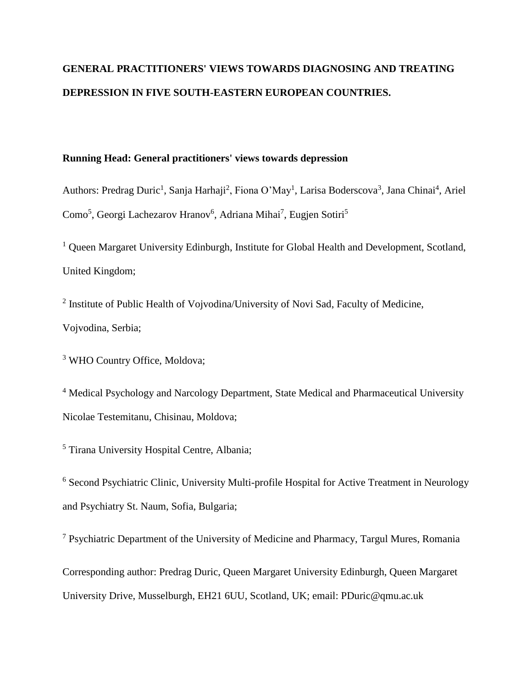# **GENERAL PRACTITIONERS' VIEWS TOWARDS DIAGNOSING AND TREATING DEPRESSION IN FIVE SOUTH-EASTERN EUROPEAN COUNTRIES.**

## **Running Head: General practitioners' views towards depression**

Authors: Predrag Duric<sup>1</sup>, Sanja Harhaji<sup>2</sup>, Fiona O'May<sup>1</sup>, Larisa Boderscova<sup>3</sup>, Jana Chinai<sup>4</sup>, Ariel Como<sup>5</sup>, Georgi Lachezarov Hranov<sup>6</sup>, Adriana Mihai<sup>7</sup>, Eugjen Sotiri<sup>5</sup>

<sup>1</sup> Queen Margaret University Edinburgh, Institute for Global Health and Development, Scotland, United Kingdom;

<sup>2</sup> Institute of Public Health of Vojvodina/University of Novi Sad, Faculty of Medicine, Vojvodina, Serbia;

<sup>3</sup> WHO Country Office, Moldova;

<sup>4</sup> Medical Psychology and Narcology Department, State Medical and Pharmaceutical University Nicolae Testemitanu, Chisinau, Moldova;

<sup>5</sup> Tirana University Hospital Centre, Albania;

<sup>6</sup> Second Psychiatric Clinic, University Multi-profile Hospital for Active Treatment in Neurology and Psychiatry St. Naum, Sofia, Bulgaria;

<sup>7</sup> Psychiatric Department of the University of Medicine and Pharmacy, Targul Mures, Romania Corresponding author: Predrag Duric, Queen Margaret University Edinburgh, Queen Margaret University Drive, Musselburgh, EH21 6UU, Scotland, UK; email: PDuric@qmu.ac.uk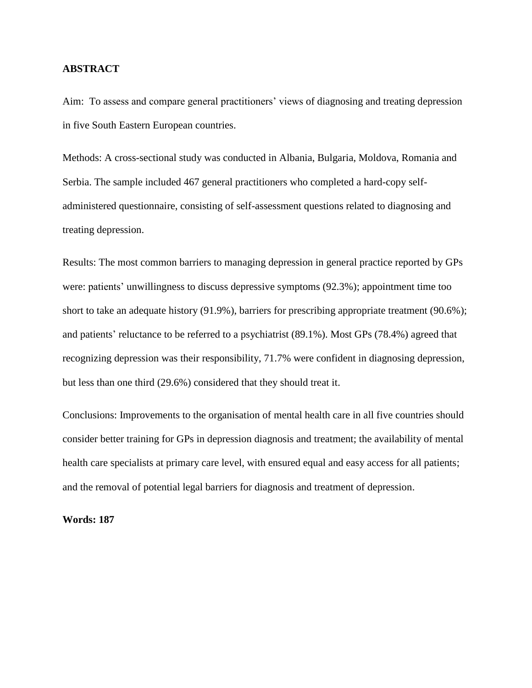## **ABSTRACT**

Aim: To assess and compare general practitioners' views of diagnosing and treating depression in five South Eastern European countries.

Methods: A cross-sectional study was conducted in Albania, Bulgaria, Moldova, Romania and Serbia. The sample included 467 general practitioners who completed a hard-copy selfadministered questionnaire, consisting of self-assessment questions related to diagnosing and treating depression.

Results: The most common barriers to managing depression in general practice reported by GPs were: patients' unwillingness to discuss depressive symptoms (92.3%); appointment time too short to take an adequate history (91.9%), barriers for prescribing appropriate treatment (90.6%); and patients' reluctance to be referred to a psychiatrist (89.1%). Most GPs (78.4%) agreed that recognizing depression was their responsibility, 71.7% were confident in diagnosing depression, but less than one third (29.6%) considered that they should treat it.

Conclusions: Improvements to the organisation of mental health care in all five countries should consider better training for GPs in depression diagnosis and treatment; the availability of mental health care specialists at primary care level, with ensured equal and easy access for all patients; and the removal of potential legal barriers for diagnosis and treatment of depression.

**Words: 187**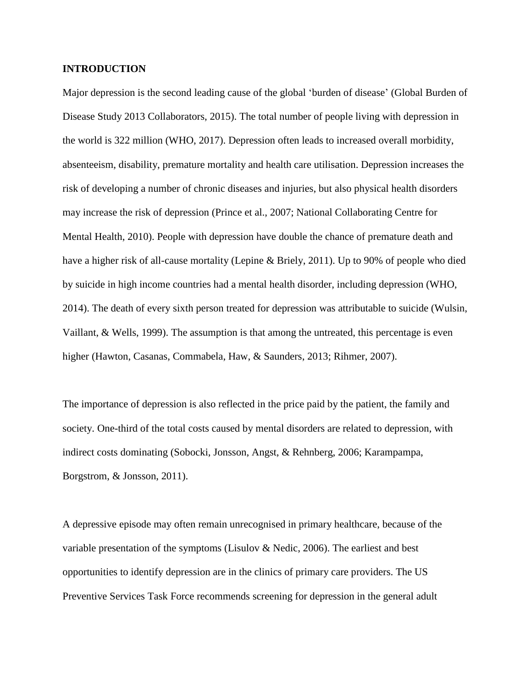## **INTRODUCTION**

Major depression is the second leading cause of the global 'burden of disease' (Global Burden of Disease Study 2013 Collaborators, 2015). The total number of people living with depression in the world is 322 million (WHO, 2017). Depression often leads to increased overall morbidity, absenteeism, disability, premature mortality and health care utilisation. Depression increases the risk of developing a number of chronic diseases and injuries, but also physical health disorders may increase the risk of depression (Prince et al., 2007; National Collaborating Centre for Mental Health, 2010). People with depression have double the chance of premature death and have a higher risk of all-cause mortality (Lepine & Briely, 2011). Up to 90% of people who died by suicide in high income countries had a mental health disorder, including depression (WHO, 2014). The death of every sixth person treated for depression was attributable to suicide (Wulsin, Vaillant, & Wells, 1999). The assumption is that among the untreated, this percentage is even higher (Hawton, Casanas, Commabela, Haw, & Saunders, 2013; Rihmer, 2007).

The importance of depression is also reflected in the price paid by the patient, the family and society. One-third of the total costs caused by mental disorders are related to depression, with indirect costs dominating (Sobocki, Jonsson, Angst, & Rehnberg, 2006; Karampampa, Borgstrom, & Jonsson, 2011).

A depressive episode may often remain unrecognised in primary healthcare, because of the variable presentation of the symptoms (Lisulov  $\&$  Nedic, 2006). The earliest and best opportunities to identify depression are in the clinics of primary care providers. The US Preventive Services Task Force recommends screening for depression in the general adult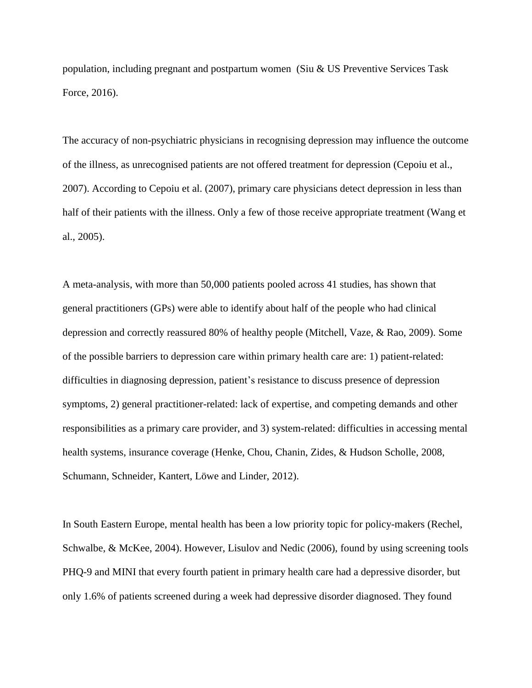population, including pregnant and postpartum women (Siu & US Preventive Services Task Force, 2016).

The accuracy of non-psychiatric physicians in recognising depression may influence the outcome of the illness, as unrecognised patients are not offered treatment for depression (Cepoiu et al., 2007). According to Cepoiu et al. (2007), primary care physicians detect depression in less than half of their patients with the illness. Only a few of those receive appropriate treatment (Wang et al., 2005).

A meta-analysis, with more than 50,000 patients pooled across 41 studies, has shown that general practitioners (GPs) were able to identify about half of the people who had clinical depression and correctly reassured 80% of healthy people (Mitchell, Vaze, & Rao, 2009). Some of the possible barriers to depression care within primary health care are: 1) patient-related: difficulties in diagnosing depression, patient's resistance to discuss presence of depression symptoms, 2) general practitioner-related: lack of expertise, and competing demands and other responsibilities as a primary care provider, and 3) system-related: difficulties in accessing mental health systems, insurance coverage (Henke, Chou, Chanin, Zides, & Hudson Scholle, 2008, Schumann, Schneider, Kantert, Löwe and Linder, 2012).

In South Eastern Europe, mental health has been a low priority topic for policy-makers (Rechel, Schwalbe, & McKee, 2004). However, Lisulov and Nedic (2006), found by using screening tools PHQ-9 and MINI that every fourth patient in primary health care had a depressive disorder, but only 1.6% of patients screened during a week had depressive disorder diagnosed. They found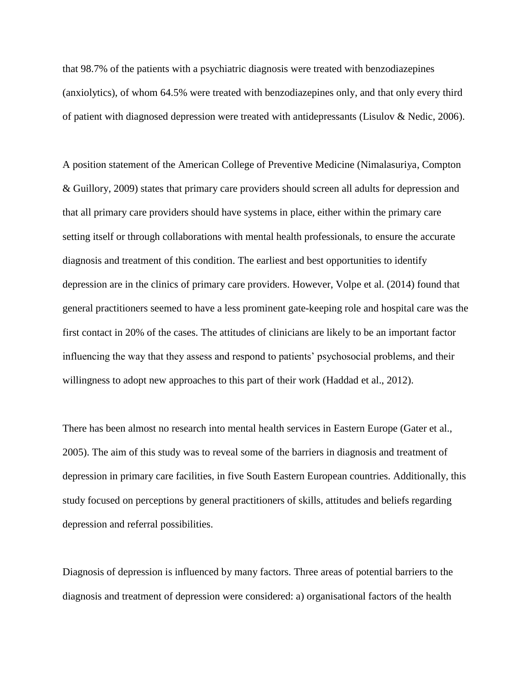that 98.7% of the patients with a psychiatric diagnosis were treated with benzodiazepines (anxiolytics), of whom 64.5% were treated with benzodiazepines only, and that only every third of patient with diagnosed depression were treated with antidepressants (Lisulov & Nedic, 2006).

A position statement of the American College of Preventive Medicine (Nimalasuriya, Compton & Guillory, 2009) states that primary care providers should screen all adults for depression and that all primary care providers should have systems in place, either within the primary care setting itself or through collaborations with mental health professionals, to ensure the accurate diagnosis and treatment of this condition. The earliest and best opportunities to identify depression are in the clinics of primary care providers. However, Volpe et al. (2014) found that general practitioners seemed to have a less prominent gate-keeping role and hospital care was the first contact in 20% of the cases. The attitudes of clinicians are likely to be an important factor influencing the way that they assess and respond to patients' psychosocial problems, and their willingness to adopt new approaches to this part of their work (Haddad et al., 2012).

There has been almost no research into mental health services in Eastern Europe (Gater et al., 2005). The aim of this study was to reveal some of the barriers in diagnosis and treatment of depression in primary care facilities, in five South Eastern European countries. Additionally, this study focused on perceptions by general practitioners of skills, attitudes and beliefs regarding depression and referral possibilities.

Diagnosis of depression is influenced by many factors. Three areas of potential barriers to the diagnosis and treatment of depression were considered: a) organisational factors of the health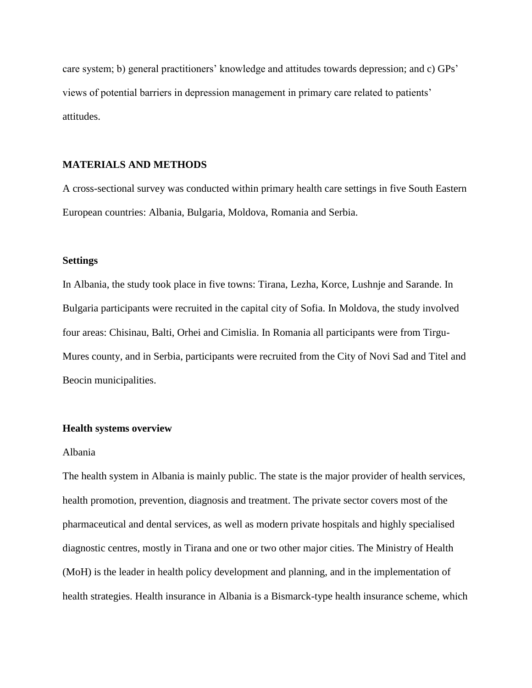care system; b) general practitioners' knowledge and attitudes towards depression; and c) GPs' views of potential barriers in depression management in primary care related to patients' attitudes.

### **MATERIALS AND METHODS**

A cross-sectional survey was conducted within primary health care settings in five South Eastern European countries: Albania, Bulgaria, Moldova, Romania and Serbia.

#### **Settings**

In Albania, the study took place in five towns: Tirana, Lezha, Korce, Lushnje and Sarande. In Bulgaria participants were recruited in the capital city of Sofia. In Moldova, the study involved four areas: Chisinau, Balti, Orhei and Cimislia. In Romania all participants were from Tirgu-Mures county, and in Serbia, participants were recruited from the City of Novi Sad and Titel and Beocin municipalities.

## **Health systems overview**

#### Albania

The health system in Albania is mainly public. The state is the major provider of health services, health promotion, prevention, diagnosis and treatment. The private sector covers most of the pharmaceutical and dental services, as well as modern private hospitals and highly specialised diagnostic centres, mostly in Tirana and one or two other major cities. The Ministry of Health (MoH) is the leader in health policy development and planning, and in the implementation of health strategies. Health insurance in Albania is a Bismarck-type health insurance scheme, which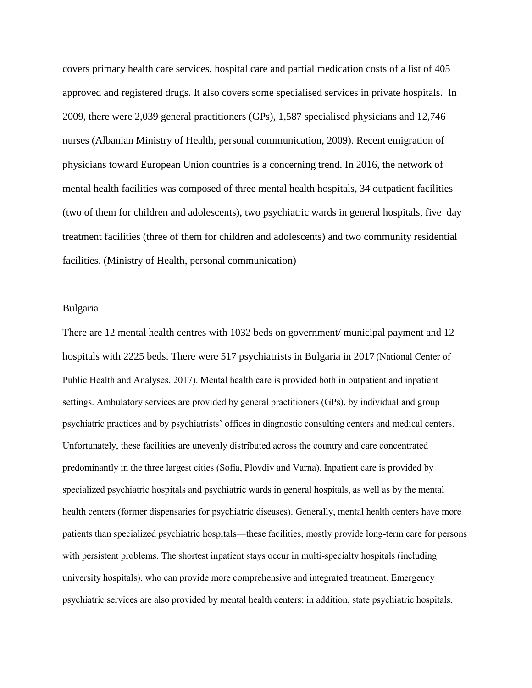covers primary health care services, hospital care and partial medication costs of a list of 405 approved and registered drugs. It also covers some specialised services in private hospitals. In 2009, there were 2,039 general practitioners (GPs), 1,587 specialised physicians and 12,746 nurses (Albanian Ministry of Health, personal communication, 2009). Recent emigration of physicians toward European Union countries is a concerning trend. In 2016, the network of mental health facilities was composed of three mental health hospitals, 34 outpatient facilities (two of them for children and adolescents), two psychiatric wards in general hospitals, five day treatment facilities (three of them for children and adolescents) and two community residential facilities. (Ministry of Health, personal communication)

#### Bulgaria

There are 12 mental health centres with 1032 beds on government/ municipal payment and 12 hospitals with 2225 beds. There were 517 psychiatrists in Bulgaria in 2017 (National Center of Public Health and Analyses, 2017). Mental health care is provided both in outpatient and inpatient settings. Ambulatory services are provided by general practitioners (GPs), by individual and group psychiatric practices and by psychiatrists' offices in diagnostic consulting centers and medical centers. Unfortunately, these facilities are unevenly distributed across the country and care concentrated predominantly in the three largest cities (Sofia, Plovdiv and Varna). Inpatient care is provided by specialized psychiatric hospitals and psychiatric wards in general hospitals, as well as by the mental health centers (former dispensaries for psychiatric diseases). Generally, mental health centers have more patients than specialized psychiatric hospitals—these facilities, mostly provide long-term care for persons with persistent problems. The shortest inpatient stays occur in multi-specialty hospitals (including university hospitals), who can provide more comprehensive and integrated treatment. Emergency psychiatric services are also provided by mental health centers; in addition, state psychiatric hospitals,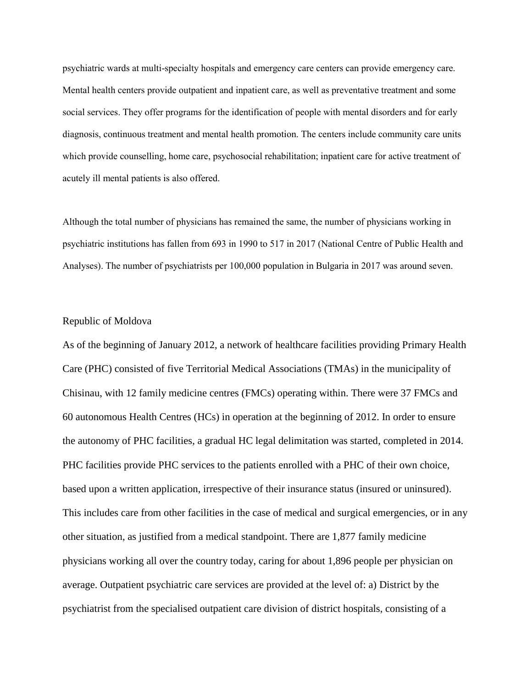psychiatric wards at multi-specialty hospitals and emergency care centers can provide emergency care. Mental health centers provide outpatient and inpatient care, as well as preventative treatment and some social services. They offer programs for the identification of people with mental disorders and for early diagnosis, continuous treatment and mental health promotion. The centers include community care units which provide counselling, home care, psychosocial rehabilitation; inpatient care for active treatment of acutely ill mental patients is also offered.

Although the total number of physicians has remained the same, the number of physicians working in psychiatric institutions has fallen from 693 in 1990 to 517 in 2017 (National Centre of Public Health and Analyses). The number of psychiatrists per 100,000 population in Bulgaria in 2017 was around seven.

## Republic of Moldova

As of the beginning of January 2012, a network of healthcare facilities providing Primary Health Care (PHC) consisted of five Territorial Medical Associations (TMAs) in the municipality of Chisinau, with 12 family medicine centres (FMCs) operating within. There were 37 FMCs and 60 autonomous Health Centres (HCs) in operation at the beginning of 2012. In order to ensure the autonomy of PHC facilities, a gradual HC legal delimitation was started, completed in 2014. PHC facilities provide PHC services to the patients enrolled with a PHC of their own choice, based upon a written application, irrespective of their insurance status (insured or uninsured). This includes care from other facilities in the case of medical and surgical emergencies, or in any other situation, as justified from a medical standpoint. There are 1,877 family medicine physicians working all over the country today, caring for about 1,896 people per physician on average. Outpatient psychiatric care services are provided at the level of: a) District by the psychiatrist from the specialised outpatient care division of district hospitals, consisting of a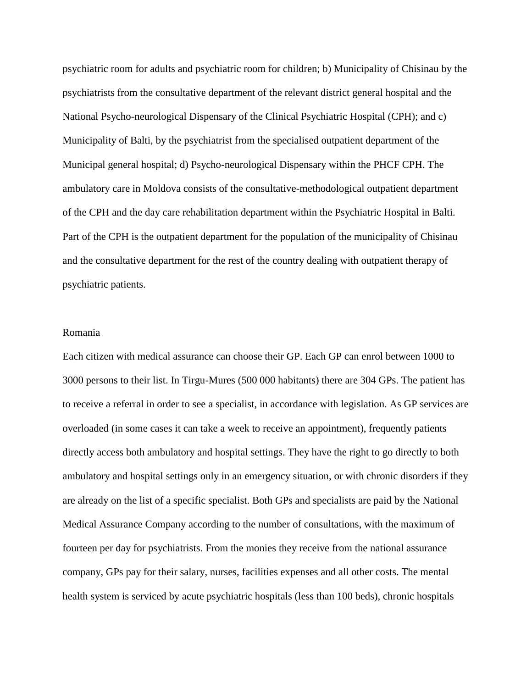psychiatric room for adults and psychiatric room for children; b) Municipality of Chisinau by the psychiatrists from the consultative department of the relevant district general hospital and the National Psycho-neurological Dispensary of the Clinical Psychiatric Hospital (CPH); and c) Municipality of Balti, by the psychiatrist from the specialised outpatient department of the Municipal general hospital; d) Psycho-neurological Dispensary within the PHCF CPH. The ambulatory care in Moldova consists of the consultative-methodological outpatient department of the CPH and the day care rehabilitation department within the Psychiatric Hospital in Balti. Part of the CPH is the outpatient department for the population of the municipality of Chisinau and the consultative department for the rest of the country dealing with outpatient therapy of psychiatric patients.

## Romania

Each citizen with medical assurance can choose their GP. Each GP can enrol between 1000 to 3000 persons to their list. In Tirgu-Mures (500 000 habitants) there are 304 GPs. The patient has to receive a referral in order to see a specialist, in accordance with legislation. As GP services are overloaded (in some cases it can take a week to receive an appointment), frequently patients directly access both ambulatory and hospital settings. They have the right to go directly to both ambulatory and hospital settings only in an emergency situation, or with chronic disorders if they are already on the list of a specific specialist. Both GPs and specialists are paid by the National Medical Assurance Company according to the number of consultations, with the maximum of fourteen per day for psychiatrists. From the monies they receive from the national assurance company, GPs pay for their salary, nurses, facilities expenses and all other costs. The mental health system is serviced by acute psychiatric hospitals (less than 100 beds), chronic hospitals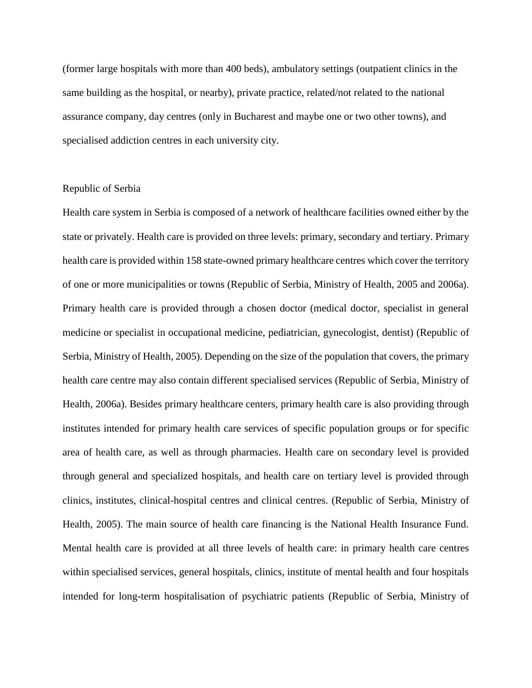(former large hospitals with more than 400 beds), ambulatory settings (outpatient clinics in the same building as the hospital, or nearby), private practice, related/not related to the national assurance company, day centres (only in Bucharest and maybe one or two other towns), and specialised addiction centres in each university city.

## Republic of Serbia

Health care system in Serbia is composed of a network of healthcare facilities owned either by the state or privately. Health care is provided on three levels: primary, secondary and tertiary. Primary health care is provided within 158 state-owned primary healthcare centres which cover the territory of one or more municipalities or towns (Republic of Serbia, Ministry of Health, 2005 and 2006a). Primary health care is provided through a chosen doctor (medical doctor, specialist in general medicine or specialist in occupational medicine, pediatrician, gynecologist, dentist) (Republic of Serbia, Ministry of Health, 2005). Depending on the size of the population that covers, the primary health care centre may also contain different specialised services (Republic of Serbia, Ministry of Health, 2006a). Besides primary healthcare centers, primary health care is also providing through institutes intended for primary health care services of specific population groups or for specific area of health care, as well as through pharmacies. Health care on secondary level is provided through general and specialized hospitals, and health care on tertiary level is provided through clinics, institutes, clinical-hospital centres and clinical centres. (Republic of Serbia, Ministry of Health, 2005). The main source of health care financing is the National Health Insurance Fund. Mental health care is provided at all three levels of health care: in primary health care centres within specialised services, general hospitals, clinics, institute of mental health and four hospitals intended for long-term hospitalisation of psychiatric patients (Republic of Serbia, Ministry of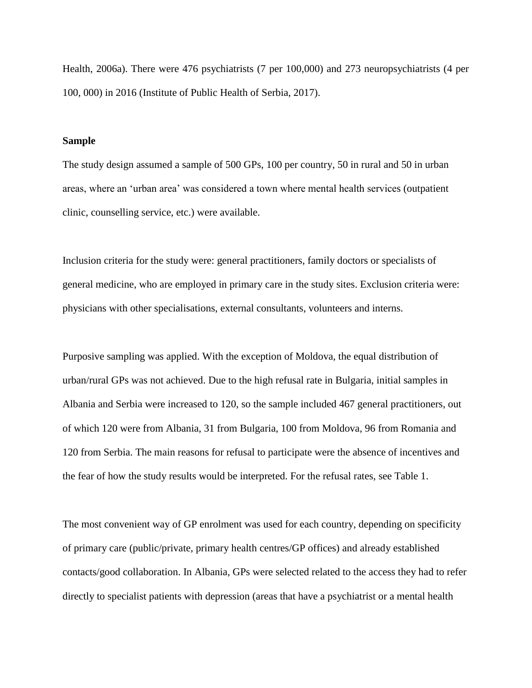Health, 2006a). There were 476 psychiatrists (7 per 100,000) and 273 neuropsychiatrists (4 per 100, 000) in 2016 (Institute of Public Health of Serbia, 2017).

#### **Sample**

The study design assumed a sample of 500 GPs, 100 per country, 50 in rural and 50 in urban areas, where an 'urban area' was considered a town where mental health services (outpatient clinic, counselling service, etc.) were available.

Inclusion criteria for the study were: general practitioners, family doctors or specialists of general medicine, who are employed in primary care in the study sites. Exclusion criteria were: physicians with other specialisations, external consultants, volunteers and interns.

Purposive sampling was applied. With the exception of Moldova, the equal distribution of urban/rural GPs was not achieved. Due to the high refusal rate in Bulgaria, initial samples in Albania and Serbia were increased to 120, so the sample included 467 general practitioners, out of which 120 were from Albania, 31 from Bulgaria, 100 from Moldova, 96 from Romania and 120 from Serbia. The main reasons for refusal to participate were the absence of incentives and the fear of how the study results would be interpreted. For the refusal rates, see Table 1.

The most convenient way of GP enrolment was used for each country, depending on specificity of primary care (public/private, primary health centres/GP offices) and already established contacts/good collaboration. In Albania, GPs were selected related to the access they had to refer directly to specialist patients with depression (areas that have a psychiatrist or a mental health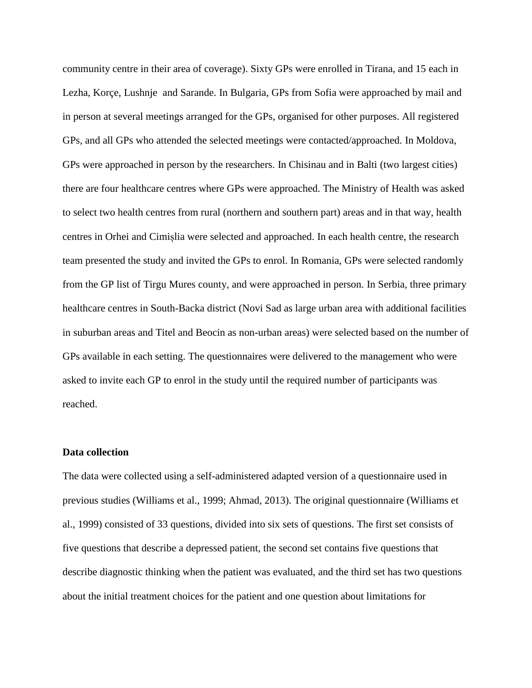community centre in their area of coverage). Sixty GPs were enrolled in Tirana, and 15 each in Lezha, Korçe, Lushnje and Sarande. In Bulgaria, GPs from Sofia were approached by mail and in person at several meetings arranged for the GPs, organised for other purposes. All registered GPs, and all GPs who attended the selected meetings were contacted/approached. In Moldova, GPs were approached in person by the researchers. In Chisinau and in Balti (two largest cities) there are four healthcare centres where GPs were approached. The Ministry of Health was asked to select two health centres from rural (northern and southern part) areas and in that way, health centres in Orhei and Cimișlia were selected and approached. In each health centre, the research team presented the study and invited the GPs to enrol. In Romania, GPs were selected randomly from the GP list of Tirgu Mures county, and were approached in person. In Serbia, three primary healthcare centres in South-Backa district (Novi Sad as large urban area with additional facilities in suburban areas and Titel and Beocin as non-urban areas) were selected based on the number of GPs available in each setting. The questionnaires were delivered to the management who were asked to invite each GP to enrol in the study until the required number of participants was reached.

#### **Data collection**

The data were collected using a self-administered adapted version of a questionnaire used in previous studies (Williams et al., 1999; Ahmad, 2013). The original questionnaire (Williams et al., 1999) consisted of 33 questions, divided into six sets of questions. The first set consists of five questions that describe a depressed patient, the second set contains five questions that describe diagnostic thinking when the patient was evaluated, and the third set has two questions about the initial treatment choices for the patient and one question about limitations for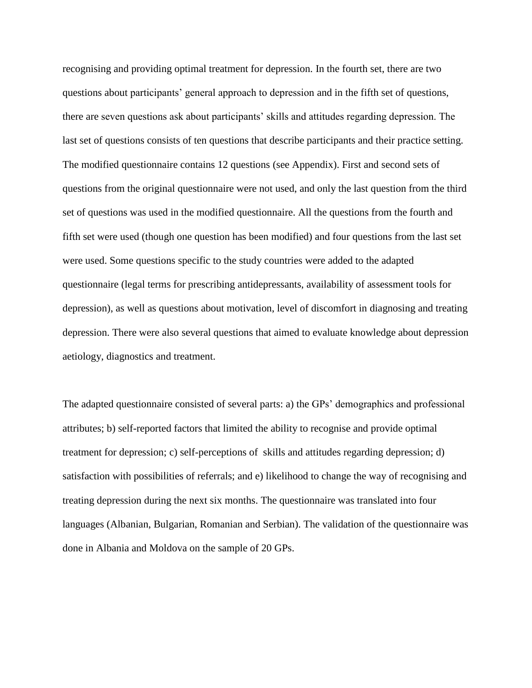recognising and providing optimal treatment for depression. In the fourth set, there are two questions about participants' general approach to depression and in the fifth set of questions, there are seven questions ask about participants' skills and attitudes regarding depression. The last set of questions consists of ten questions that describe participants and their practice setting. The modified questionnaire contains 12 questions (see Appendix). First and second sets of questions from the original questionnaire were not used, and only the last question from the third set of questions was used in the modified questionnaire. All the questions from the fourth and fifth set were used (though one question has been modified) and four questions from the last set were used. Some questions specific to the study countries were added to the adapted questionnaire (legal terms for prescribing antidepressants, availability of assessment tools for depression), as well as questions about motivation, level of discomfort in diagnosing and treating depression. There were also several questions that aimed to evaluate knowledge about depression aetiology, diagnostics and treatment.

The adapted questionnaire consisted of several parts: a) the GPs' demographics and professional attributes; b) self-reported factors that limited the ability to recognise and provide optimal treatment for depression; c) self-perceptions of skills and attitudes regarding depression; d) satisfaction with possibilities of referrals; and e) likelihood to change the way of recognising and treating depression during the next six months. The questionnaire was translated into four languages (Albanian, Bulgarian, Romanian and Serbian). The validation of the questionnaire was done in Albania and Moldova on the sample of 20 GPs.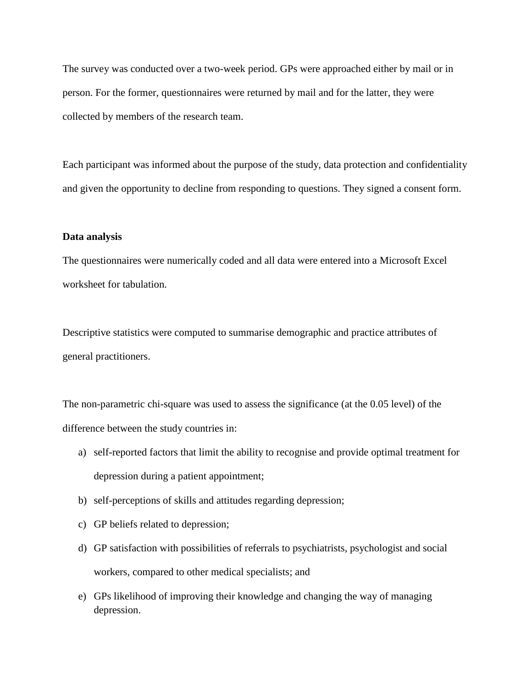The survey was conducted over a two-week period. GPs were approached either by mail or in person. For the former, questionnaires were returned by mail and for the latter, they were collected by members of the research team.

Each participant was informed about the purpose of the study, data protection and confidentiality and given the opportunity to decline from responding to questions. They signed a consent form.

## **Data analysis**

The questionnaires were numerically coded and all data were entered into a Microsoft Excel worksheet for tabulation.

Descriptive statistics were computed to summarise demographic and practice attributes of general practitioners.

The non-parametric chi-square was used to assess the significance (at the 0.05 level) of the difference between the study countries in:

- a) self-reported factors that limit the ability to recognise and provide optimal treatment for depression during a patient appointment;
- b) self-perceptions of skills and attitudes regarding depression;
- c) GP beliefs related to depression;
- d) GP satisfaction with possibilities of referrals to psychiatrists, psychologist and social workers, compared to other medical specialists; and
- e) GPs likelihood of improving their knowledge and changing the way of managing depression.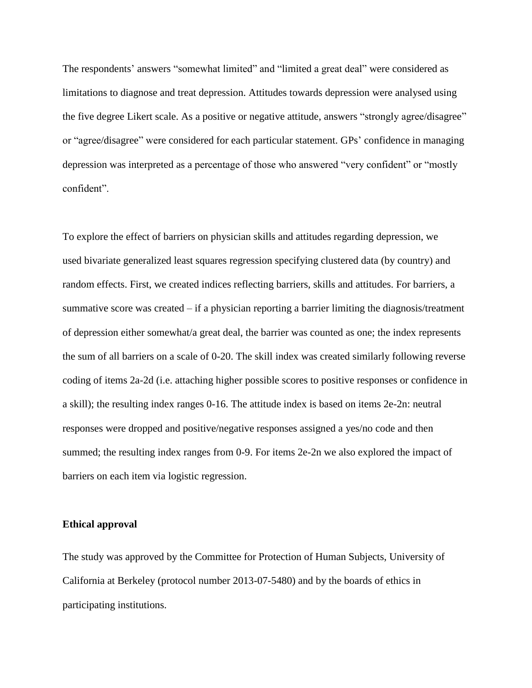The respondents' answers "somewhat limited" and "limited a great deal" were considered as limitations to diagnose and treat depression. Attitudes towards depression were analysed using the five degree Likert scale. As a positive or negative attitude, answers "strongly agree/disagree" or "agree/disagree" were considered for each particular statement. GPs' confidence in managing depression was interpreted as a percentage of those who answered "very confident" or "mostly confident".

To explore the effect of barriers on physician skills and attitudes regarding depression, we used bivariate generalized least squares regression specifying clustered data (by country) and random effects. First, we created indices reflecting barriers, skills and attitudes. For barriers, a summative score was created – if a physician reporting a barrier limiting the diagnosis/treatment of depression either somewhat/a great deal, the barrier was counted as one; the index represents the sum of all barriers on a scale of 0-20. The skill index was created similarly following reverse coding of items 2a-2d (i.e. attaching higher possible scores to positive responses or confidence in a skill); the resulting index ranges 0-16. The attitude index is based on items 2e-2n: neutral responses were dropped and positive/negative responses assigned a yes/no code and then summed; the resulting index ranges from 0-9. For items 2e-2n we also explored the impact of barriers on each item via logistic regression.

#### **Ethical approval**

The study was approved by the Committee for Protection of Human Subjects, University of California at Berkeley (protocol number 2013-07-5480) and by the boards of ethics in participating institutions.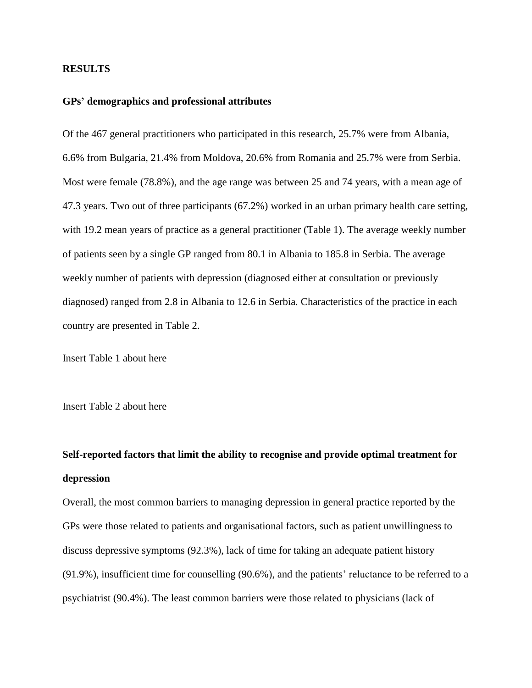## **RESULTS**

#### **GPs' demographics and professional attributes**

Of the 467 general practitioners who participated in this research, 25.7% were from Albania, 6.6% from Bulgaria, 21.4% from Moldova, 20.6% from Romania and 25.7% were from Serbia. Most were female (78.8%), and the age range was between 25 and 74 years, with a mean age of 47.3 years. Two out of three participants (67.2%) worked in an urban primary health care setting, with 19.2 mean years of practice as a general practitioner (Table 1). The average weekly number of patients seen by a single GP ranged from 80.1 in Albania to 185.8 in Serbia. The average weekly number of patients with depression (diagnosed either at consultation or previously diagnosed) ranged from 2.8 in Albania to 12.6 in Serbia. Characteristics of the practice in each country are presented in Table 2.

Insert Table 1 about here

Insert Table 2 about here

## **Self-reported factors that limit the ability to recognise and provide optimal treatment for depression**

Overall, the most common barriers to managing depression in general practice reported by the GPs were those related to patients and organisational factors, such as patient unwillingness to discuss depressive symptoms (92.3%), lack of time for taking an adequate patient history (91.9%), insufficient time for counselling (90.6%), and the patients' reluctance to be referred to a psychiatrist (90.4%). The least common barriers were those related to physicians (lack of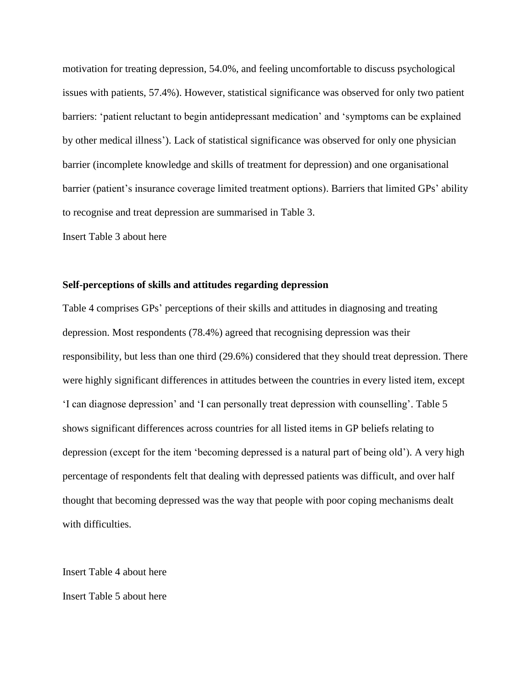motivation for treating depression, 54.0%, and feeling uncomfortable to discuss psychological issues with patients, 57.4%). However, statistical significance was observed for only two patient barriers: 'patient reluctant to begin antidepressant medication' and 'symptoms can be explained by other medical illness'). Lack of statistical significance was observed for only one physician barrier (incomplete knowledge and skills of treatment for depression) and one organisational barrier (patient's insurance coverage limited treatment options). Barriers that limited GPs' ability to recognise and treat depression are summarised in Table 3.

Insert Table 3 about here

## **Self-perceptions of skills and attitudes regarding depression**

Table 4 comprises GPs' perceptions of their skills and attitudes in diagnosing and treating depression. Most respondents (78.4%) agreed that recognising depression was their responsibility, but less than one third (29.6%) considered that they should treat depression. There were highly significant differences in attitudes between the countries in every listed item, except 'I can diagnose depression' and 'I can personally treat depression with counselling'. Table 5 shows significant differences across countries for all listed items in GP beliefs relating to depression (except for the item 'becoming depressed is a natural part of being old'). A very high percentage of respondents felt that dealing with depressed patients was difficult, and over half thought that becoming depressed was the way that people with poor coping mechanisms dealt with difficulties.

Insert Table 4 about here Insert Table 5 about here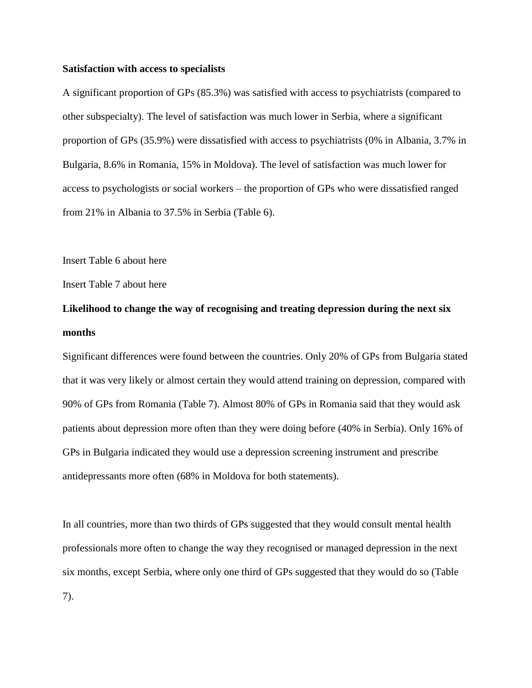#### **Satisfaction with access to specialists**

A significant proportion of GPs (85.3%) was satisfied with access to psychiatrists (compared to other subspecialty). The level of satisfaction was much lower in Serbia, where a significant proportion of GPs (35.9%) were dissatisfied with access to psychiatrists (0% in Albania, 3.7% in Bulgaria, 8.6% in Romania, 15% in Moldova). The level of satisfaction was much lower for access to psychologists or social workers – the proportion of GPs who were dissatisfied ranged from 21% in Albania to 37.5% in Serbia (Table 6).

Insert Table 6 about here

Insert Table 7 about here

## **Likelihood to change the way of recognising and treating depression during the next six months**

Significant differences were found between the countries. Only 20% of GPs from Bulgaria stated that it was very likely or almost certain they would attend training on depression, compared with 90% of GPs from Romania (Table 7). Almost 80% of GPs in Romania said that they would ask patients about depression more often than they were doing before (40% in Serbia). Only 16% of GPs in Bulgaria indicated they would use a depression screening instrument and prescribe antidepressants more often (68% in Moldova for both statements).

In all countries, more than two thirds of GPs suggested that they would consult mental health professionals more often to change the way they recognised or managed depression in the next six months, except Serbia, where only one third of GPs suggested that they would do so (Table 7).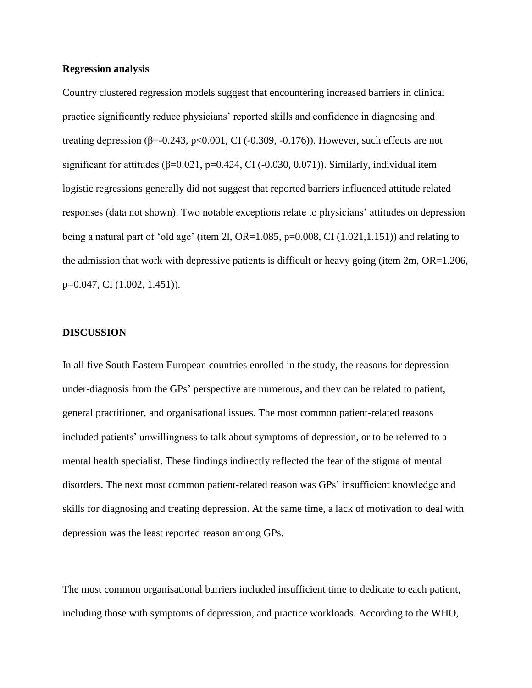#### **Regression analysis**

Country clustered regression models suggest that encountering increased barriers in clinical practice significantly reduce physicians' reported skills and confidence in diagnosing and treating depression  $(\beta = 0.243, \text{p} < 0.001, \text{CI} (-0.309, -0.176))$ . However, such effects are not significant for attitudes  $(\beta=0.021, p=0.424, CI(-0.030, 0.071))$ . Similarly, individual item logistic regressions generally did not suggest that reported barriers influenced attitude related responses (data not shown). Two notable exceptions relate to physicians' attitudes on depression being a natural part of 'old age' (item 2l, OR=1.085, p=0.008, CI  $(1.021, 1.151)$ ) and relating to the admission that work with depressive patients is difficult or heavy going (item 2m, OR=1.206, p=0.047, CI (1.002, 1.451)).

#### **DISCUSSION**

In all five South Eastern European countries enrolled in the study, the reasons for depression under-diagnosis from the GPs' perspective are numerous, and they can be related to patient, general practitioner, and organisational issues. The most common patient-related reasons included patients' unwillingness to talk about symptoms of depression, or to be referred to a mental health specialist. These findings indirectly reflected the fear of the stigma of mental disorders. The next most common patient-related reason was GPs' insufficient knowledge and skills for diagnosing and treating depression. At the same time, a lack of motivation to deal with depression was the least reported reason among GPs.

The most common organisational barriers included insufficient time to dedicate to each patient, including those with symptoms of depression, and practice workloads. According to the WHO,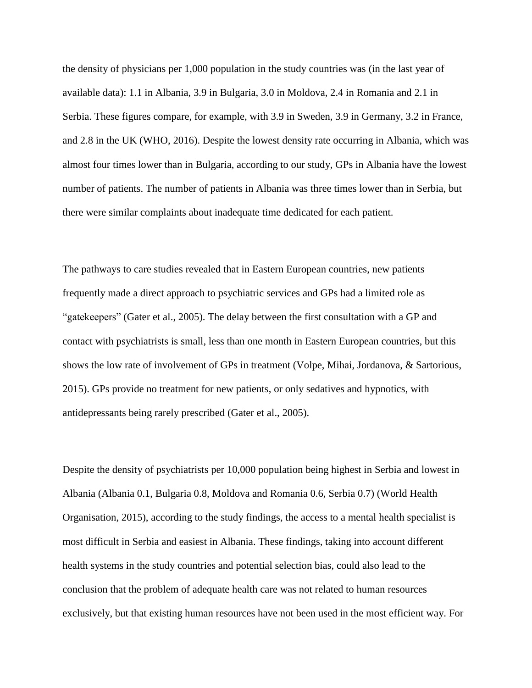the density of physicians per 1,000 population in the study countries was (in the last year of available data): 1.1 in Albania, 3.9 in Bulgaria, 3.0 in Moldova, 2.4 in Romania and 2.1 in Serbia. These figures compare, for example, with 3.9 in Sweden, 3.9 in Germany, 3.2 in France, and 2.8 in the UK (WHO, 2016). Despite the lowest density rate occurring in Albania, which was almost four times lower than in Bulgaria, according to our study, GPs in Albania have the lowest number of patients. The number of patients in Albania was three times lower than in Serbia, but there were similar complaints about inadequate time dedicated for each patient.

The pathways to care studies revealed that in Eastern European countries, new patients frequently made a direct approach to psychiatric services and GPs had a limited role as "gatekeepers" (Gater et al., 2005). The delay between the first consultation with a GP and contact with psychiatrists is small, less than one month in Eastern European countries, but this shows the low rate of involvement of GPs in treatment (Volpe, Mihai, Jordanova, & Sartorious, 2015). GPs provide no treatment for new patients, or only sedatives and hypnotics, with antidepressants being rarely prescribed (Gater et al., 2005).

Despite the density of psychiatrists per 10,000 population being highest in Serbia and lowest in Albania (Albania 0.1, Bulgaria 0.8, Moldova and Romania 0.6, Serbia 0.7) (World Health Organisation, 2015), according to the study findings, the access to a mental health specialist is most difficult in Serbia and easiest in Albania. These findings, taking into account different health systems in the study countries and potential selection bias, could also lead to the conclusion that the problem of adequate health care was not related to human resources exclusively, but that existing human resources have not been used in the most efficient way. For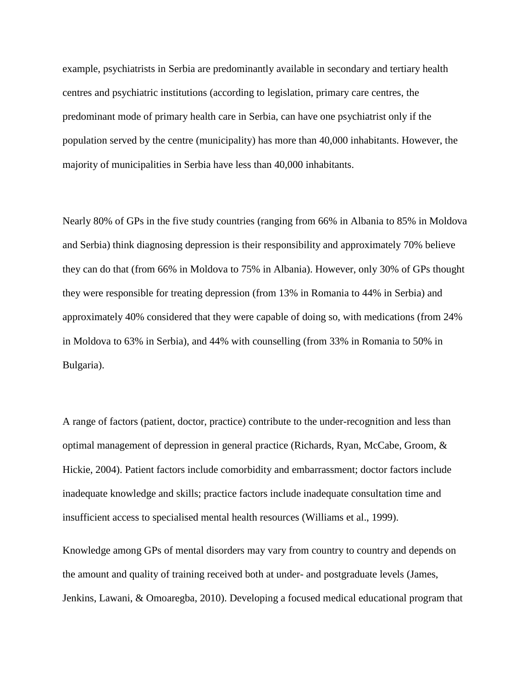example, psychiatrists in Serbia are predominantly available in secondary and tertiary health centres and psychiatric institutions (according to legislation, primary care centres, the predominant mode of primary health care in Serbia, can have one psychiatrist only if the population served by the centre (municipality) has more than 40,000 inhabitants. However, the majority of municipalities in Serbia have less than 40,000 inhabitants.

Nearly 80% of GPs in the five study countries (ranging from 66% in Albania to 85% in Moldova and Serbia) think diagnosing depression is their responsibility and approximately 70% believe they can do that (from 66% in Moldova to 75% in Albania). However, only 30% of GPs thought they were responsible for treating depression (from 13% in Romania to 44% in Serbia) and approximately 40% considered that they were capable of doing so, with medications (from 24% in Moldova to 63% in Serbia), and 44% with counselling (from 33% in Romania to 50% in Bulgaria).

A range of factors (patient, doctor, practice) contribute to the under-recognition and less than optimal management of depression in general practice (Richards, Ryan, McCabe, Groom, & Hickie, 2004). Patient factors include comorbidity and embarrassment; doctor factors include inadequate knowledge and skills; practice factors include inadequate consultation time and insufficient access to specialised mental health resources (Williams et al., 1999).

Knowledge among GPs of mental disorders may vary from country to country and depends on the amount and quality of training received both at under- and postgraduate levels (James, Jenkins, Lawani, & Omoaregba, 2010). Developing a focused medical educational program that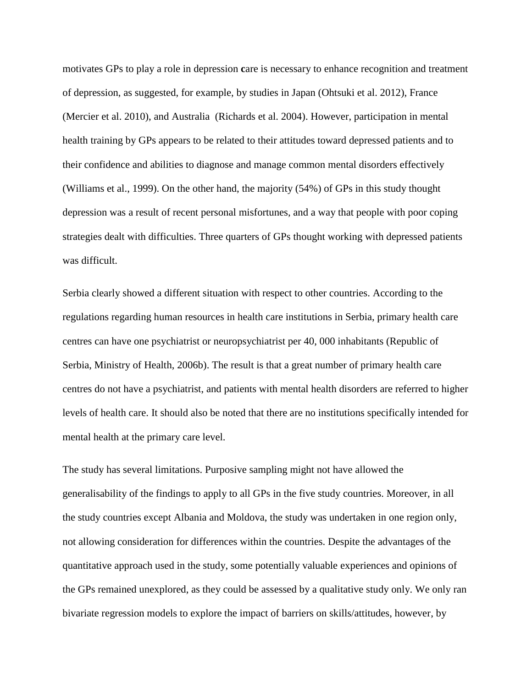motivates GPs to play a role in depression care is necessary to enhance recognition and treatment of depression, as suggested, for example, by studies in Japan (Ohtsuki et al. 2012), France (Mercier et al. 2010), and Australia (Richards et al. 2004). However, participation in mental health training by GPs appears to be related to their attitudes toward depressed patients and to their confidence and abilities to diagnose and manage common mental disorders effectively (Williams et al., 1999). On the other hand, the majority (54%) of GPs in this study thought depression was a result of recent personal misfortunes, and a way that people with poor coping strategies dealt with difficulties. Three quarters of GPs thought working with depressed patients was difficult.

Serbia clearly showed a different situation with respect to other countries. According to the regulations regarding human resources in health care institutions in Serbia, primary health care centres can have one psychiatrist or neuropsychiatrist per 40, 000 inhabitants (Republic of Serbia, Ministry of Health, 2006b). The result is that a great number of primary health care centres do not have a psychiatrist, and patients with mental health disorders are referred to higher levels of health care. It should also be noted that there are no institutions specifically intended for mental health at the primary care level.

The study has several limitations. Purposive sampling might not have allowed the generalisability of the findings to apply to all GPs in the five study countries. Moreover, in all the study countries except Albania and Moldova, the study was undertaken in one region only, not allowing consideration for differences within the countries. Despite the advantages of the quantitative approach used in the study, some potentially valuable experiences and opinions of the GPs remained unexplored, as they could be assessed by a qualitative study only. We only ran bivariate regression models to explore the impact of barriers on skills/attitudes, however, by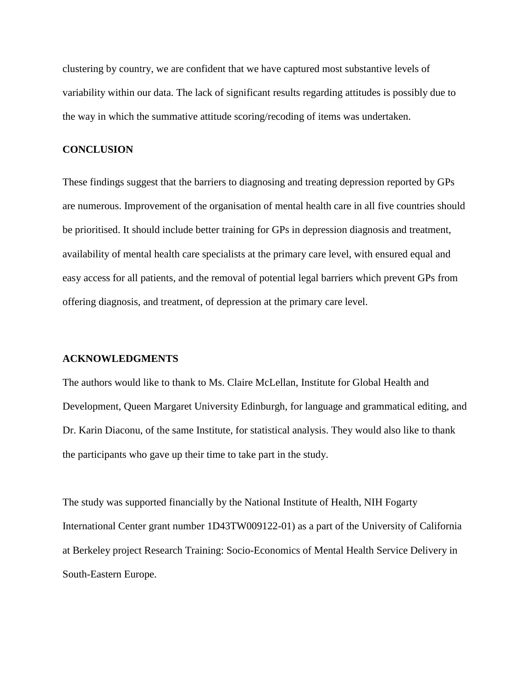clustering by country, we are confident that we have captured most substantive levels of variability within our data. The lack of significant results regarding attitudes is possibly due to the way in which the summative attitude scoring/recoding of items was undertaken.

## **CONCLUSION**

These findings suggest that the barriers to diagnosing and treating depression reported by GPs are numerous. Improvement of the organisation of mental health care in all five countries should be prioritised. It should include better training for GPs in depression diagnosis and treatment, availability of mental health care specialists at the primary care level, with ensured equal and easy access for all patients, and the removal of potential legal barriers which prevent GPs from offering diagnosis, and treatment, of depression at the primary care level.

## **ACKNOWLEDGMENTS**

The authors would like to thank to Ms. Claire McLellan, Institute for Global Health and Development, Queen Margaret University Edinburgh, for language and grammatical editing, and Dr. Karin Diaconu, of the same Institute, for statistical analysis. They would also like to thank the participants who gave up their time to take part in the study.

The study was supported financially by the National Institute of Health, NIH Fogarty International Center grant number 1D43TW009122-01) as a part of the University of California at Berkeley project Research Training: Socio-Economics of Mental Health Service Delivery in South-Eastern Europe.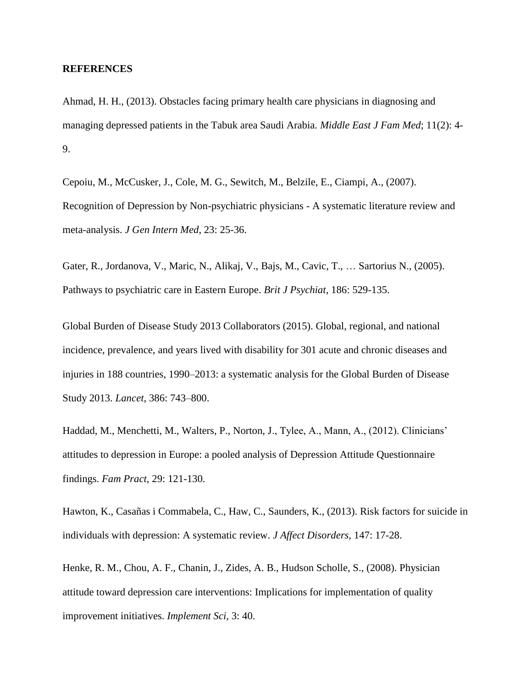## **REFERENCES**

Ahmad, H. H., (2013). Obstacles facing primary health care physicians in diagnosing and managing depressed patients in the Tabuk area Saudi Arabia. *Middle East J Fam Med*; 11(2): 4- 9.

Cepoiu, M., McCusker, J., Cole, M. G., Sewitch, M., Belzile, E., Ciampi, A., (2007). Recognition of Depression by Non-psychiatric physicians - A systematic literature review and meta-analysis. *J Gen Intern Med*, 23: 25-36.

Gater, R., Jordanova, V., Maric, N., Alikaj, V., Bajs, M., Cavic, T., … Sartorius N., (2005). Pathways to psychiatric care in Eastern Europe. *Brit J Psychiat*, 186: 529-135.

Global Burden of Disease Study 2013 Collaborators (2015). Global, regional, and national incidence, prevalence, and years lived with disability for 301 acute and chronic diseases and injuries in 188 countries, 1990–2013: a systematic analysis for the Global Burden of Disease Study 2013. *Lancet*, 386: 743–800.

Haddad, M., Menchetti, M., Walters, P., Norton, J., Tylee, A., Mann, A., (2012). Clinicians' attitudes to depression in Europe: a pooled analysis of Depression Attitude Questionnaire findings. *Fam Pract,* 29: 121-130.

Hawton, K., Casañas i Commabela, C., Haw, C., Saunders, K., (2013). Risk factors for suicide in individuals with depression: A systematic review. *J Affect Disorders,* 147: 17-28.

Henke, R. M., Chou, A. F., Chanin, J., Zides, A. B., Hudson Scholle, S., (2008). Physician attitude toward depression care interventions: Implications for implementation of quality improvement initiatives. *Implement Sci,* 3: 40.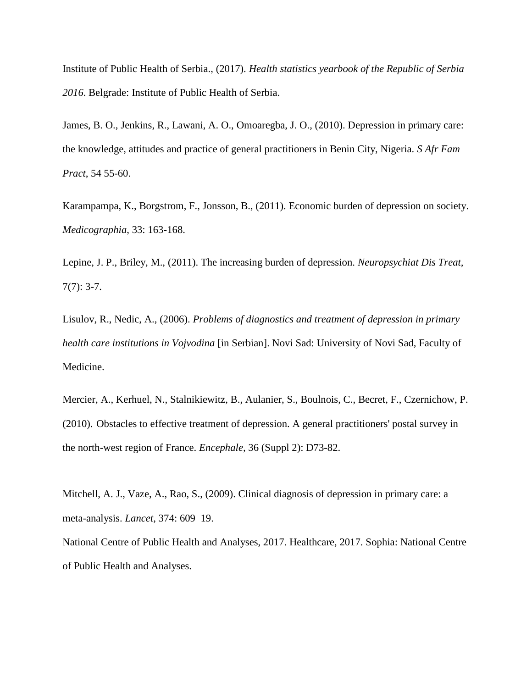Institute of Public Health of Serbia., (2017). *Health statistics yearbook of the Republic of Serbia 2016*. Belgrade: Institute of Public Health of Serbia.

James, B. O., Jenkins, R., Lawani, A. O., Omoaregba, J. O., (2010). Depression in primary care: the knowledge, attitudes and practice of general practitioners in Benin City, Nigeria. *S Afr Fam Pract*, 54 55-60.

Karampampa, K., Borgstrom, F., Jonsson, B., (2011). Economic burden of depression on society. *Medicographia*, 33: 163-168.

Lepine, J. P., Briley, M., (2011). The increasing burden of depression. *Neuropsychiat Dis Treat,*  $7(7): 3-7.$ 

Lisulov, R., Nedic, A., (2006). *Problems of diagnostics and treatment of depression in primary health care institutions in Vojvodina* [in Serbian]. Novi Sad: University of Novi Sad, Faculty of Medicine.

[Mercier, A.](javascript:__doLinkPostBack(), [Kerhuel, N.](javascript:__doLinkPostBack(), [Stalnikiewitz, B.](javascript:__doLinkPostBack(), [Aulanier, S.](javascript:__doLinkPostBack(), [Boulnois, C.](javascript:__doLinkPostBack(), [Becret, F.](javascript:__doLinkPostBack(), [Czernichow, P.](javascript:__doLinkPostBack() (2010). Obstacles to effective treatment of depression. A general practitioners' postal survey in the north-west region of France. *Encephale,* 36 (Suppl 2): D73-82.

Mitchell, A. J., Vaze, A., Rao, S., (2009). Clinical diagnosis of depression in primary care: a meta-analysis. *Lancet*, 374: 609–19.

National Centre of Public Health and Analyses, 2017. Healthcare, 2017. Sophia: National Centre of Public Health and Analyses.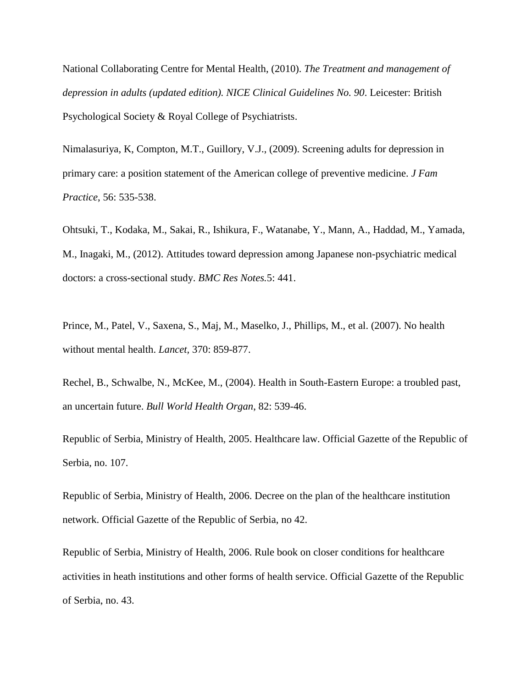National Collaborating Centre for Mental Health, (2010). *The Treatment and management of depression in adults (updated edition). NICE Clinical Guidelines No. 90*. Leicester: British Psychological Society & Royal College of Psychiatrists.

Nimalasuriya, K, Compton, M.T., Guillory, V.J., (2009). Screening adults for depression in primary care: a position statement of the American college of preventive medicine. *J Fam Practice*, 56: 535-538.

[Ohtsuki,](javascript:__doLinkPostBack() T., [Kodaka,](javascript:__doLinkPostBack() M., [Sakai,](javascript:__doLinkPostBack() R., [Ishikura,](javascript:__doLinkPostBack() F., [Watanabe,](javascript:__doLinkPostBack() Y., [Mann,](javascript:__doLinkPostBack() A., [Haddad,](javascript:__doLinkPostBack() M., [Yamada,](javascript:__doLinkPostBack() [M.](javascript:__doLinkPostBack(), [Inagaki,](javascript:__doLinkPostBack() M., (2012). Attitudes toward depression among Japanese non-psychiatric medical doctors: a cross-sectional study. *BMC Res Notes.*5: 441.

Prince, M., Patel, V., Saxena, S., Maj, M., Maselko, J., Phillips, M., et al. (2007). No health without mental health. *Lancet,* 370: 859-877.

Rechel, B., Schwalbe, N., McKee, M., (2004). Health in South-Eastern Europe: a troubled past, an uncertain future. *Bull World Health Organ*, 82: 539-46.

Republic of Serbia, Ministry of Health, 2005. Healthcare law. Official Gazette of the Republic of Serbia, no. 107.

Republic of Serbia, Ministry of Health, 2006. Decree on the plan of the healthcare institution network. Official Gazette of the Republic of Serbia, no 42.

Republic of Serbia, Ministry of Health, 2006. Rule book on closer conditions for healthcare activities in heath institutions and other forms of health service. Official Gazette of the Republic of Serbia, no. 43.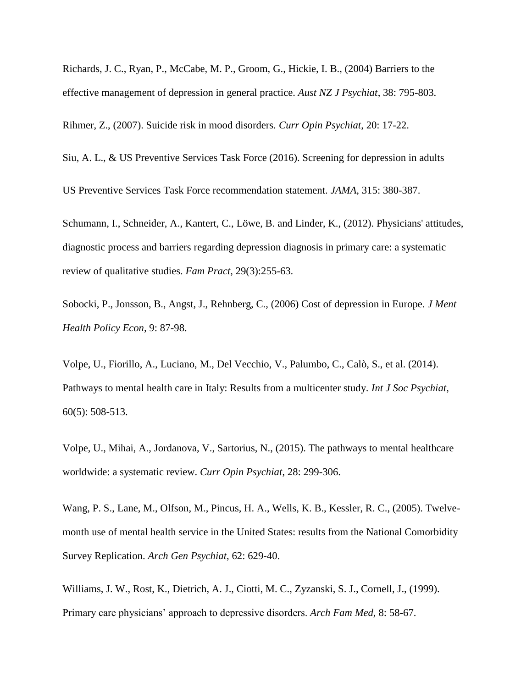Richards, J. C., Ryan, P., McCabe, M. P., Groom, G., Hickie, I. B., (2004) Barriers to the effective management of depression in general practice. *Aust NZ J Psychiat*, 38: 795-803.

Rihmer, Z., (2007). Suicide risk in mood disorders*. Curr Opin Psychiat*, 20: 17-22.

Siu, A. L., & US Preventive Services Task Force (2016). Screening for depression in adults

US Preventive Services Task Force recommendation statement. *JAMA*, 315: 380-387.

Schumann, I., Schneider, A., Kantert, C., Löwe, B. and Linder, K., (2012). Physicians' attitudes, diagnostic process and barriers regarding depression diagnosis in primary care: a systematic review of qualitative studies. *Fam Pract*, 29(3):255-63.

Sobocki, P., Jonsson, B., Angst, J., Rehnberg, C., (2006) Cost of depression in Europe. *J Ment Health Policy Econ,* 9: 87-98.

Volpe, U., Fiorillo, A., Luciano, M., Del Vecchio, V., Palumbo, C., Calò, S., et al. (2014). Pathways to mental health care in Italy: Results from a multicenter study. *Int J Soc Psychiat,* 60(5): 508-513.

Volpe, U., Mihai, A., Jordanova, V., Sartorius, N., (2015). The pathways to mental healthcare worldwide: a systematic review. *Curr Opin Psychiat*, 28: 299-306.

Wang, P. S., Lane, M., Olfson, M., Pincus, H. A., Wells, K. B., Kessler, R. C., (2005). Twelvemonth use of mental health service in the United States: results from the National Comorbidity Survey Replication. *Arch Gen Psychiat*, 62: 629-40.

Williams, J. W., Rost, K., Dietrich, A. J., Ciotti, M. C., Zyzanski, S. J., Cornell, J., (1999). Primary care physicians' approach to depressive disorders. *Arch Fam Med,* 8: 58-67.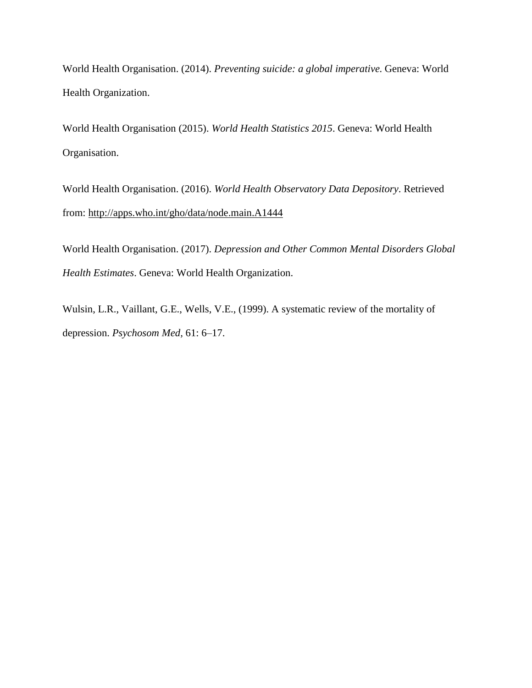World Health Organisation. (2014). *Preventing suicide: a global imperative.* Geneva: World Health Organization.

World Health Organisation (2015). *World Health Statistics 2015*. Geneva: World Health Organisation.

World Health Organisation. (2016). *World Health Observatory Data Depository*. Retrieved from:<http://apps.who.int/gho/data/node.main.A1444>

World Health Organisation. (2017). *Depression and Other Common Mental Disorders Global Health Estimates*. Geneva: World Health Organization.

Wulsin, L.R., Vaillant, G.E., Wells, V.E., (1999). A systematic review of the mortality of depression. *Psychosom Med,* 61: 6–17.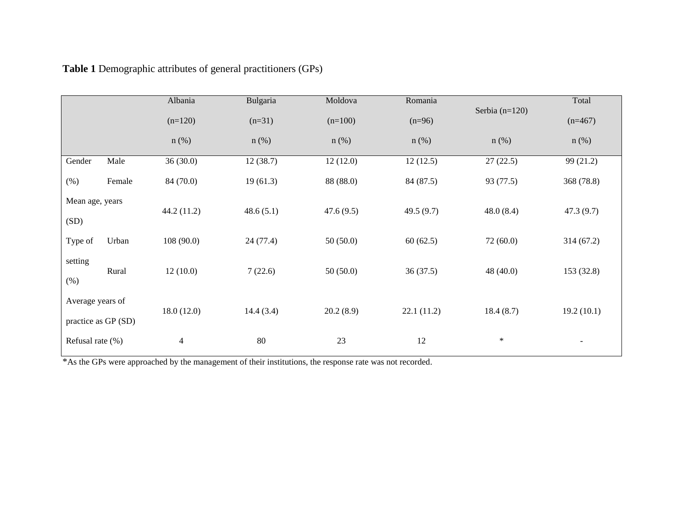|                         |                     | Albania    | Bulgaria  | Moldova   | Romania    |                  | Total      |
|-------------------------|---------------------|------------|-----------|-----------|------------|------------------|------------|
|                         |                     | $(n=120)$  | $(n=31)$  | $(n=100)$ | $(n=96)$   | Serbia $(n=120)$ | $(n=467)$  |
|                         |                     | $n$ (%)    | $n$ (%)   | $n$ (%)   | $n$ (%)    | $n$ (%)          | $n$ (%)    |
| Gender                  | Male                | 36(30.0)   | 12(38.7)  | 12(12.0)  | 12(12.5)   | 27(22.5)         | 99(21.2)   |
| $(\% )$                 | Female              | 84 (70.0)  | 19(61.3)  | 88 (88.0) | 84 (87.5)  | 93 (77.5)        | 368 (78.8) |
| Mean age, years<br>(SD) |                     | 44.2(11.2) | 48.6(5.1) | 47.6(9.5) | 49.5(9.7)  | 48.0(8.4)        | 47.3(9.7)  |
| Type of                 | Urban               | 108(90.0)  | 24(77.4)  | 50(50.0)  | 60(62.5)   | 72(60.0)         | 314(67.2)  |
| setting<br>(%)          | Rural               | 12(10.0)   | 7(22.6)   | 50(50.0)  | 36(37.5)   | 48 $(40.0)$      | 153 (32.8) |
| Average years of        | practice as GP (SD) | 18.0(12.0) | 14.4(3.4) | 20.2(8.9) | 22.1(11.2) | 18.4(8.7)        | 19.2(10.1) |
| Refusal rate (%)        |                     | 4          | 80        | 23        | 12         | $\ast$           |            |

**Table 1** Demographic attributes of general practitioners (GPs)

<sup>\*</sup>As the GPs were approached by the management of their institutions, the response rate was not recorded.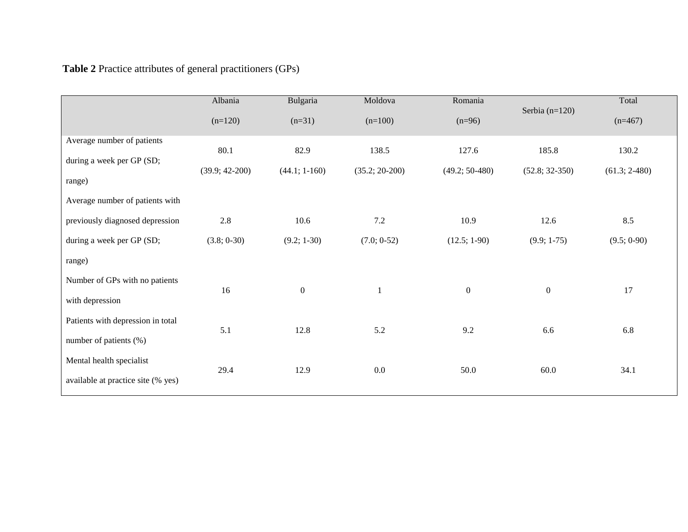| <b>Table 2</b> Practice attributes of general practitioners (GPs) |  |  |
|-------------------------------------------------------------------|--|--|
|-------------------------------------------------------------------|--|--|

|                                     | Albania          | Bulgaria         | Moldova          | Romania          | Serbia $(n=120)$ | Total           |
|-------------------------------------|------------------|------------------|------------------|------------------|------------------|-----------------|
|                                     | $(n=120)$        | $(n=31)$         | $(n=100)$        | $(n=96)$         |                  | $(n=467)$       |
| Average number of patients          | 80.1             | 82.9             | 138.5            | 127.6            | 185.8            | 130.2           |
| during a week per GP (SD;<br>range) | $(39.9; 42-200)$ | $(44.1; 1-160)$  | $(35.2; 20-200)$ | $(49.2; 50-480)$ | $(52.8; 32-350)$ | $(61.3; 2-480)$ |
| Average number of patients with     |                  |                  |                  |                  |                  |                 |
| previously diagnosed depression     | 2.8              | 10.6             | $7.2\,$          | 10.9             | 12.6             | 8.5             |
| during a week per GP (SD;           | (3.8; 0.30)      | $(9.2; 1-30)$    | (7.0; 0.52)      | $(12.5; 1-90)$   | $(9.9; 1-75)$    | (9.5; 0.90)     |
| range)                              |                  |                  |                  |                  |                  |                 |
| Number of GPs with no patients      | 16               | $\boldsymbol{0}$ | $\mathbf{1}$     | $\boldsymbol{0}$ | $\boldsymbol{0}$ | 17              |
| with depression                     |                  |                  |                  |                  |                  |                 |
| Patients with depression in total   | 5.1              | 12.8             | 5.2              | 9.2              | 6.6              | 6.8             |
| number of patients $(\%)$           |                  |                  |                  |                  |                  |                 |
| Mental health specialist            | 29.4             | 12.9             | $0.0\,$          | 50.0             | 60.0             | 34.1            |
| available at practice site (% yes)  |                  |                  |                  |                  |                  |                 |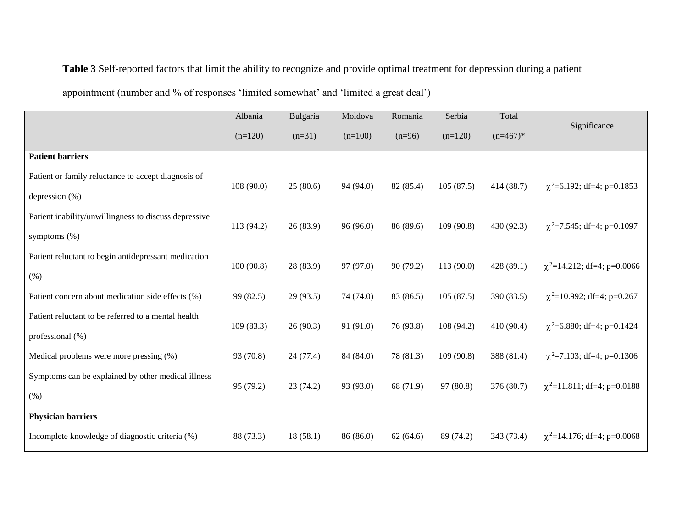## **Table 3** Self-reported factors that limit the ability to recognize and provide optimal treatment for depression during a patient

appointment (number and % of responses 'limited somewhat' and 'limited a great deal')

|                                                       | Albania    | Bulgaria  | Moldova   | Romania   | Serbia     | Total      |                                  |
|-------------------------------------------------------|------------|-----------|-----------|-----------|------------|------------|----------------------------------|
|                                                       | $(n=120)$  | $(n=31)$  | $(n=100)$ | $(n=96)$  | $(n=120)$  | $(n=467)*$ | Significance                     |
| <b>Patient barriers</b>                               |            |           |           |           |            |            |                                  |
| Patient or family reluctance to accept diagnosis of   | 108(90.0)  | 25(80.6)  | 94 (94.0) | 82 (85.4) | 105(87.5)  | 414 (88.7) | $\chi^2$ =6.192; df=4; p=0.1853  |
| depression (%)                                        |            |           |           |           |            |            |                                  |
| Patient inability/unwillingness to discuss depressive | 113 (94.2) | 26(83.9)  | 96(96.0)  | 86 (89.6) | 109 (90.8) | 430 (92.3) | $\chi^2$ =7.545; df=4; p=0.1097  |
| symptoms (%)                                          |            |           |           |           |            |            |                                  |
| Patient reluctant to begin antidepressant medication  | 100(90.8)  | 28 (83.9) | 97 (97.0) | 90(79.2)  | 113 (90.0) | 428 (89.1) | $\chi^2$ =14.212; df=4; p=0.0066 |
| (% )                                                  |            |           |           |           |            |            |                                  |
| Patient concern about medication side effects (%)     | 99 (82.5)  | 29(93.5)  | 74 (74.0) | 83 (86.5) | 105(87.5)  | 390 (83.5) | $\chi^2$ =10.992; df=4; p=0.267  |
| Patient reluctant to be referred to a mental health   | 109(83.3)  | 26(90.3)  | 91 (91.0) | 76 (93.8) | 108 (94.2) | 410 (90.4) | $\chi^2$ =6.880; df=4; p=0.1424  |
| professional (%)                                      |            |           |           |           |            |            |                                  |
| Medical problems were more pressing (%)               | 93 (70.8)  | 24(77.4)  | 84 (84.0) | 78 (81.3) | 109 (90.8) | 388 (81.4) | $\chi^2$ =7.103; df=4; p=0.1306  |
| Symptoms can be explained by other medical illness    | 95 (79.2)  | 23(74.2)  | 93 (93.0) | 68 (71.9) | 97 (80.8)  | 376 (80.7) | $\chi^2$ =11.811; df=4; p=0.0188 |
| (%)                                                   |            |           |           |           |            |            |                                  |
| <b>Physician barriers</b>                             |            |           |           |           |            |            |                                  |
| Incomplete knowledge of diagnostic criteria (%)       | 88 (73.3)  | 18(58.1)  | 86 (86.0) | 62(64.6)  | 89 (74.2)  | 343 (73.4) | $\chi^2$ =14.176; df=4; p=0.0068 |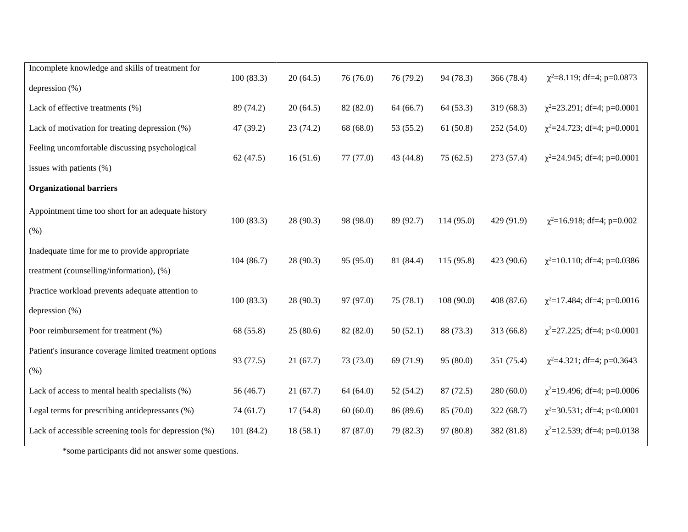| Incomplete knowledge and skills of treatment for       | 100(83.3) | 20(64.5) | 76 (76.0) | 76 (79.2) | 94 (78.3)  | 366 (78.4) | $\chi^2$ =8.119; df=4; p=0.0873  |
|--------------------------------------------------------|-----------|----------|-----------|-----------|------------|------------|----------------------------------|
| depression $(\%)$                                      |           |          |           |           |            |            |                                  |
| Lack of effective treatments (%)                       | 89 (74.2) | 20(64.5) | 82 (82.0) | 64 (66.7) | 64 (53.3)  | 319 (68.3) | $\chi^2$ =23.291; df=4; p=0.0001 |
| Lack of motivation for treating depression (%)         | 47 (39.2) | 23(74.2) | 68 (68.0) | 53 (55.2) | 61(50.8)   | 252 (54.0) | $\chi^2$ =24.723; df=4; p=0.0001 |
| Feeling uncomfortable discussing psychological         | 62(47.5)  | 16(51.6) | 77(77.0)  | 43 (44.8) | 75(62.5)   | 273 (57.4) | $\chi^2$ =24.945; df=4; p=0.0001 |
| issues with patients (%)                               |           |          |           |           |            |            |                                  |
| <b>Organizational barriers</b>                         |           |          |           |           |            |            |                                  |
| Appointment time too short for an adequate history     | 100(83.3) | 28(90.3) | 98 (98.0) | 89 (92.7) | 114(95.0)  | 429 (91.9) | $\chi^2$ =16.918; df=4; p=0.002  |
| (% )                                                   |           |          |           |           |            |            |                                  |
| Inadequate time for me to provide appropriate          | 104(86.7) | 28(90.3) | 95 (95.0) | 81 (84.4) | 115 (95.8) | 423 (90.6) | $\chi^2$ =10.110; df=4; p=0.0386 |
| treatment (counselling/information), (%)               |           |          |           |           |            |            |                                  |
| Practice workload prevents adequate attention to       | 100(83.3) | 28(90.3) | 97 (97.0) | 75(78.1)  | 108(90.0)  | 408 (87.6) | $\chi^2$ =17.484; df=4; p=0.0016 |
| depression $(\%)$                                      |           |          |           |           |            |            |                                  |
| Poor reimbursement for treatment (%)                   | 68 (55.8) | 25(80.6) | 82 (82.0) | 50(52.1)  | 88 (73.3)  | 313 (66.8) | $\chi^2$ =27.225; df=4; p<0.0001 |
| Patient's insurance coverage limited treatment options | 93 (77.5) | 21(67.7) | 73 (73.0) | 69 (71.9) | 95(80.0)   | 351 (75.4) | $\chi^2$ =4.321; df=4; p=0.3643  |
| (% )                                                   |           |          |           |           |            |            |                                  |
| Lack of access to mental health specialists (%)        | 56(46.7)  | 21(67.7) | 64 (64.0) | 52(54.2)  | 87(72.5)   | 280 (60.0) | $\chi^2$ =19.496; df=4; p=0.0006 |
| Legal terms for prescribing antidepressants (%)        | 74(61.7)  | 17(54.8) | 60(60.0)  | 86 (89.6) | 85 (70.0)  | 322 (68.7) | $\chi^2$ =30.531; df=4; p<0.0001 |
| Lack of accessible screening tools for depression (%)  | 101(84.2) | 18(58.1) | 87 (87.0) | 79 (82.3) | 97 (80.8)  | 382 (81.8) | $\chi^2$ =12.539; df=4; p=0.0138 |
|                                                        |           |          |           |           |            |            |                                  |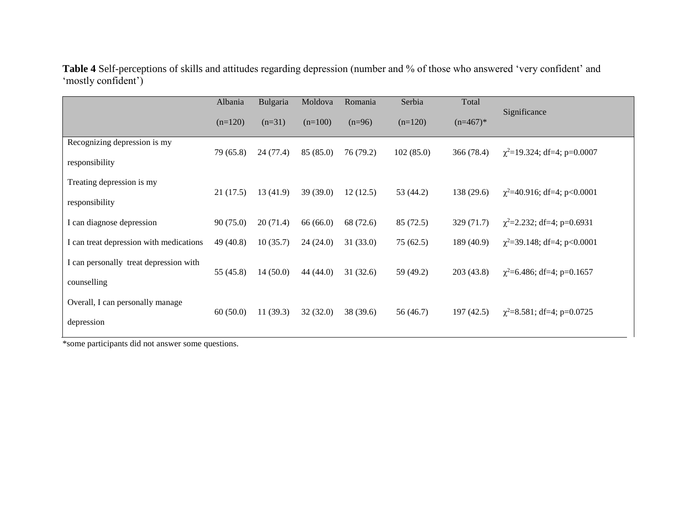|                                                       | Albania   | Bulgaria | Moldova   | Romania   | Serbia    | Total      |                                  |
|-------------------------------------------------------|-----------|----------|-----------|-----------|-----------|------------|----------------------------------|
|                                                       | $(n=120)$ | $(n=31)$ | $(n=100)$ | $(n=96)$  | $(n=120)$ | $(n=467)*$ | Significance                     |
| Recognizing depression is my<br>responsibility        | 79 (65.8) | 24(77.4) | 85(85.0)  | 76(79.2)  | 102(85.0) | 366 (78.4) | $\chi^2$ =19.324; df=4; p=0.0007 |
| Treating depression is my<br>responsibility           | 21(17.5)  | 13(41.9) | 39(39.0)  | 12(12.5)  | 53 (44.2) | 138(29.6)  | $\chi^2$ =40.916; df=4; p<0.0001 |
| I can diagnose depression                             | 90(75.0)  | 20(71.4) | 66(66.0)  | 68 (72.6) | 85 (72.5) | 329(71.7)  | $\chi^2$ =2.232; df=4; p=0.6931  |
| I can treat depression with medications               | 49 (40.8) | 10(35.7) | 24(24.0)  | 31(33.0)  | 75(62.5)  | 189(40.9)  | $\chi^2$ =39.148; df=4; p<0.0001 |
| I can personally treat depression with<br>counselling | 55 (45.8) | 14(50.0) | 44 (44.0) | 31(32.6)  | 59 (49.2) | 203(43.8)  | $\chi^2$ =6.486; df=4; p=0.1657  |
| Overall, I can personally manage<br>depression        | 60(50.0)  | 11(39.3) | 32(32.0)  | 38(39.6)  | 56 (46.7) | 197(42.5)  | $\chi^2$ =8.581; df=4; p=0.0725  |

**Table 4** Self-perceptions of skills and attitudes regarding depression (number and % of those who answered 'very confident' and 'mostly confident')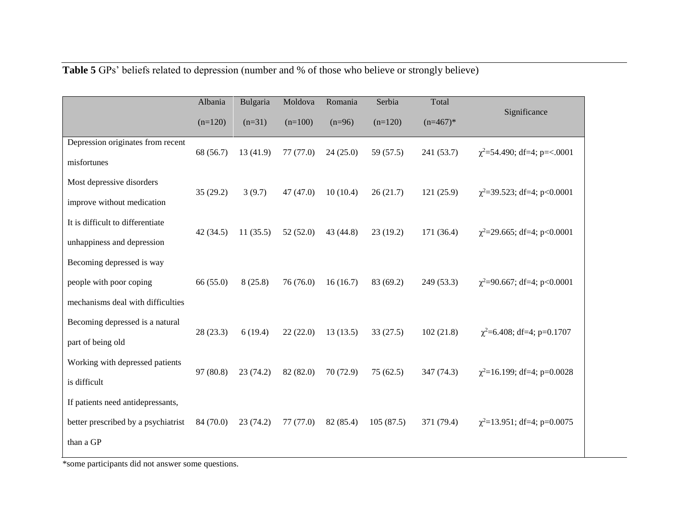| Table 5 GPs' beliefs related to depression (number and % of those who believe or strongly believe) |
|----------------------------------------------------------------------------------------------------|
|----------------------------------------------------------------------------------------------------|

|                                     | Albania   | Bulgaria | Moldova   | Romania   | Serbia    | Total      |                                  |
|-------------------------------------|-----------|----------|-----------|-----------|-----------|------------|----------------------------------|
|                                     | $(n=120)$ | $(n=31)$ | $(n=100)$ | $(n=96)$  | $(n=120)$ | $(n=467)*$ | Significance                     |
| Depression originates from recent   | 68 (56.7) | 13(41.9) | 77(77.0)  | 24(25.0)  | 59 (57.5) | 241 (53.7) | $\chi^2$ =54.490; df=4; p=<.0001 |
| misfortunes                         |           |          |           |           |           |            |                                  |
| Most depressive disorders           | 35(29.2)  | 3(9.7)   | 47(47.0)  | 10(10.4)  | 26(21.7)  | 121(25.9)  | $\chi^2$ =39.523; df=4; p<0.0001 |
| improve without medication          |           |          |           |           |           |            |                                  |
| It is difficult to differentiate    | 42(34.5)  | 11(35.5) | 52(52.0)  | 43 (44.8) | 23(19.2)  | 171 (36.4) | $\chi^2$ =29.665; df=4; p<0.0001 |
| unhappiness and depression          |           |          |           |           |           |            |                                  |
| Becoming depressed is way           |           |          |           |           |           |            |                                  |
| people with poor coping             | 66 (55.0) | 8(25.8)  | 76 (76.0) | 16(16.7)  | 83 (69.2) | 249 (53.3) | $\chi^2$ =90.667; df=4; p<0.0001 |
| mechanisms deal with difficulties   |           |          |           |           |           |            |                                  |
| Becoming depressed is a natural     | 28(23.3)  | 6(19.4)  | 22(22.0)  | 13(13.5)  | 33(27.5)  | 102(21.8)  | $\chi^2$ =6.408; df=4; p=0.1707  |
| part of being old                   |           |          |           |           |           |            |                                  |
| Working with depressed patients     | 97(80.8)  | 23(74.2) | 82 (82.0) | 70 (72.9) | 75(62.5)  | 347 (74.3) | $\chi^2$ =16.199; df=4; p=0.0028 |
| is difficult                        |           |          |           |           |           |            |                                  |
| If patients need antidepressants,   |           |          |           |           |           |            |                                  |
| better prescribed by a psychiatrist | 84 (70.0) | 23(74.2) | 77 (77.0) | 82 (85.4) | 105(87.5) | 371 (79.4) | $\chi^2$ =13.951; df=4; p=0.0075 |
| than a GP                           |           |          |           |           |           |            |                                  |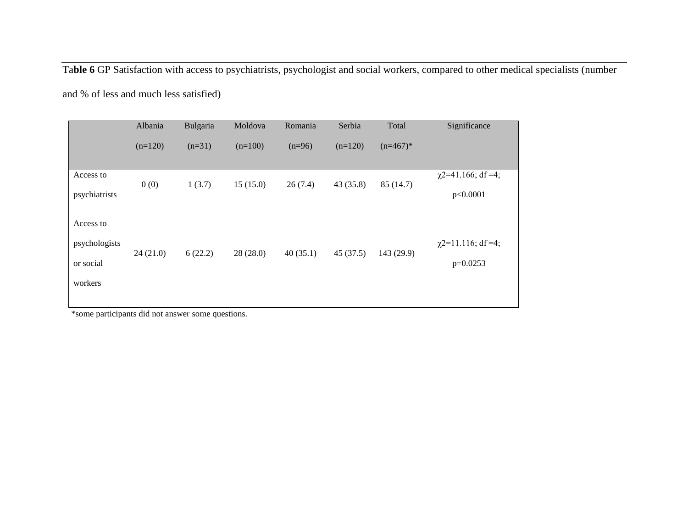Ta**ble 6** GP Satisfaction with access to psychiatrists, psychologist and social workers, compared to other medical specialists (number

and % of less and much less satisfied)

|                                                    | Albania   | Bulgaria | Moldova   | Romania  | Serbia    | Total      | Significance                          |
|----------------------------------------------------|-----------|----------|-----------|----------|-----------|------------|---------------------------------------|
|                                                    | $(n=120)$ | $(n=31)$ | $(n=100)$ | $(n=96)$ | $(n=120)$ | $(n=467)*$ |                                       |
| Access to<br>psychiatrists                         | 0(0)      | 1(3.7)   | 15(15.0)  | 26(7.4)  | 43 (35.8) | 85(14.7)   | $\chi$ 2=41.166; df =4;<br>p<0.0001   |
| Access to<br>psychologists<br>or social<br>workers | 24(21.0)  | 6(22.2)  | 28(28.0)  | 40(35.1) | 45(37.5)  | 143 (29.9) | $\chi$ 2=11.116; df =4;<br>$p=0.0253$ |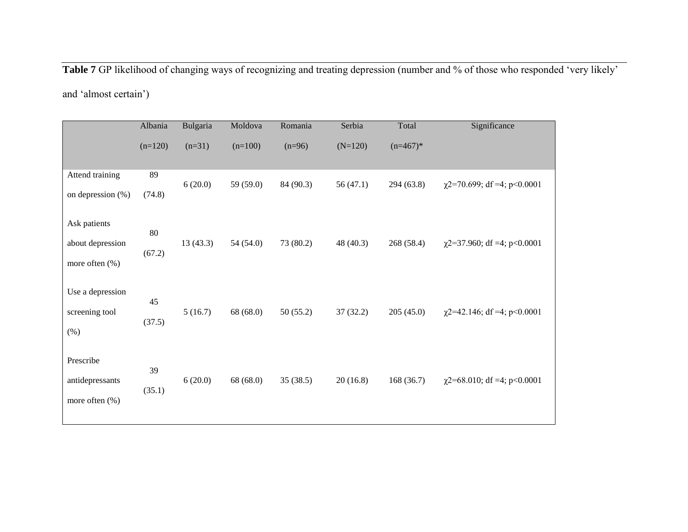**Table 7** GP likelihood of changing ways of recognizing and treating depression (number and % of those who responded 'very likely'

and 'almost certain')

|                                                    | Albania      | Bulgaria | Moldova   | Romania   | Serbia    | Total      | Significance                     |
|----------------------------------------------------|--------------|----------|-----------|-----------|-----------|------------|----------------------------------|
|                                                    | $(n=120)$    | $(n=31)$ | $(n=100)$ | $(n=96)$  | $(N=120)$ | $(n=467)*$ |                                  |
| Attend training<br>on depression $(\%)$            | 89<br>(74.8) | 6(20.0)  | 59 (59.0) | 84 (90.3) | 56(47.1)  | 294(63.8)  | $\chi$ 2=70.699; df =4; p<0.0001 |
| Ask patients<br>about depression<br>more often (%) | 80<br>(67.2) | 13(43.3) | 54(54.0)  | 73 (80.2) | 48 (40.3) | 268 (58.4) | $\chi$ 2=37.960; df =4; p<0.0001 |
| Use a depression<br>screening tool<br>$(\%)$       | 45<br>(37.5) | 5(16.7)  | 68 (68.0) | 50(55.2)  | 37(32.2)  | 205(45.0)  | $\chi$ 2=42.146; df =4; p<0.0001 |
| Prescribe<br>antidepressants<br>more often (%)     | 39<br>(35.1) | 6(20.0)  | 68 (68.0) | 35(38.5)  | 20(16.8)  | 168(36.7)  | $\chi$ 2=68.010; df =4; p<0.0001 |